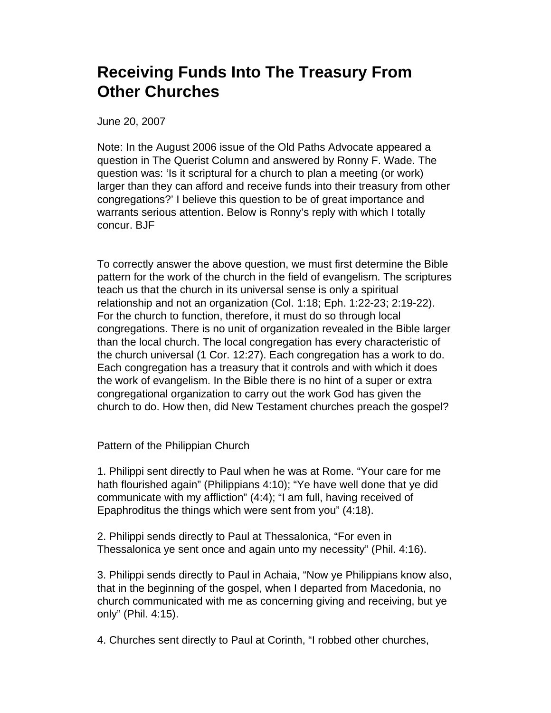## **Receiving Funds Into The Treasury From Other Churches**

June 20, 2007

Note: In the August 2006 issue of the Old Paths Advocate appeared a question in The Querist Column and answered by Ronny F. Wade. The question was: 'Is it scriptural for a church to plan a meeting (or work) larger than they can afford and receive funds into their treasury from other congregations?' I believe this question to be of great importance and warrants serious attention. Below is Ronny's reply with which I totally concur. BJF

To correctly answer the above question, we must first determine the Bible pattern for the work of the church in the field of evangelism. The scriptures teach us that the church in its universal sense is only a spiritual relationship and not an organization (Col. 1:18; Eph. 1:22-23; 2:19-22). For the church to function, therefore, it must do so through local congregations. There is no unit of organization revealed in the Bible larger than the local church. The local congregation has every characteristic of the church universal (1 Cor. 12:27). Each congregation has a work to do. Each congregation has a treasury that it controls and with which it does the work of evangelism. In the Bible there is no hint of a super or extra congregational organization to carry out the work God has given the church to do. How then, did New Testament churches preach the gospel?

Pattern of the Philippian Church

1. Philippi sent directly to Paul when he was at Rome. "Your care for me hath flourished again" (Philippians 4:10); "Ye have well done that ye did communicate with my affliction" (4:4); "I am full, having received of Epaphroditus the things which were sent from you" (4:18).

2. Philippi sends directly to Paul at Thessalonica, "For even in Thessalonica ye sent once and again unto my necessity" (Phil. 4:16).

3. Philippi sends directly to Paul in Achaia, "Now ye Philippians know also, that in the beginning of the gospel, when I departed from Macedonia, no church communicated with me as concerning giving and receiving, but ye only" (Phil. 4:15).

4. Churches sent directly to Paul at Corinth, "I robbed other churches,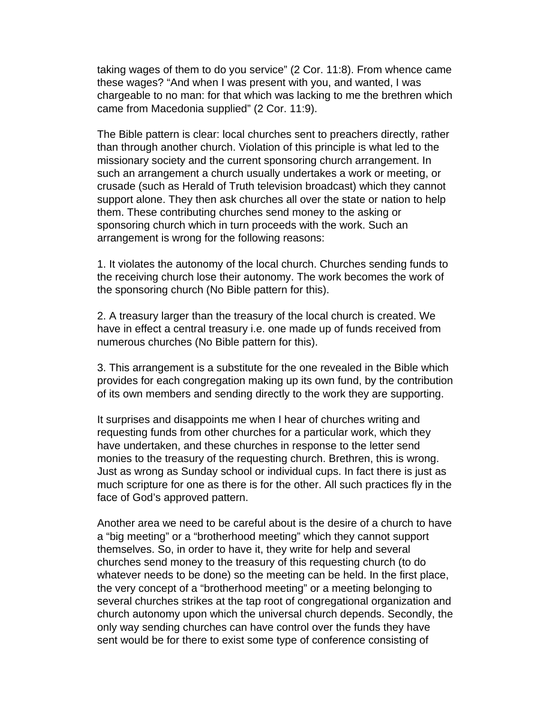taking wages of them to do you service" (2 Cor. 11:8). From whence came these wages? "And when I was present with you, and wanted, I was chargeable to no man: for that which was lacking to me the brethren which came from Macedonia supplied" (2 Cor. 11:9).

The Bible pattern is clear: local churches sent to preachers directly, rather than through another church. Violation of this principle is what led to the missionary society and the current sponsoring church arrangement. In such an arrangement a church usually undertakes a work or meeting, or crusade (such as Herald of Truth television broadcast) which they cannot support alone. They then ask churches all over the state or nation to help them. These contributing churches send money to the asking or sponsoring church which in turn proceeds with the work. Such an arrangement is wrong for the following reasons:

1. It violates the autonomy of the local church. Churches sending funds to the receiving church lose their autonomy. The work becomes the work of the sponsoring church (No Bible pattern for this).

2. A treasury larger than the treasury of the local church is created. We have in effect a central treasury i.e. one made up of funds received from numerous churches (No Bible pattern for this).

3. This arrangement is a substitute for the one revealed in the Bible which provides for each congregation making up its own fund, by the contribution of its own members and sending directly to the work they are supporting.

It surprises and disappoints me when I hear of churches writing and requesting funds from other churches for a particular work, which they have undertaken, and these churches in response to the letter send monies to the treasury of the requesting church. Brethren, this is wrong. Just as wrong as Sunday school or individual cups. In fact there is just as much scripture for one as there is for the other. All such practices fly in the face of God's approved pattern.

Another area we need to be careful about is the desire of a church to have a "big meeting" or a "brotherhood meeting" which they cannot support themselves. So, in order to have it, they write for help and several churches send money to the treasury of this requesting church (to do whatever needs to be done) so the meeting can be held. In the first place, the very concept of a "brotherhood meeting" or a meeting belonging to several churches strikes at the tap root of congregational organization and church autonomy upon which the universal church depends. Secondly, the only way sending churches can have control over the funds they have sent would be for there to exist some type of conference consisting of